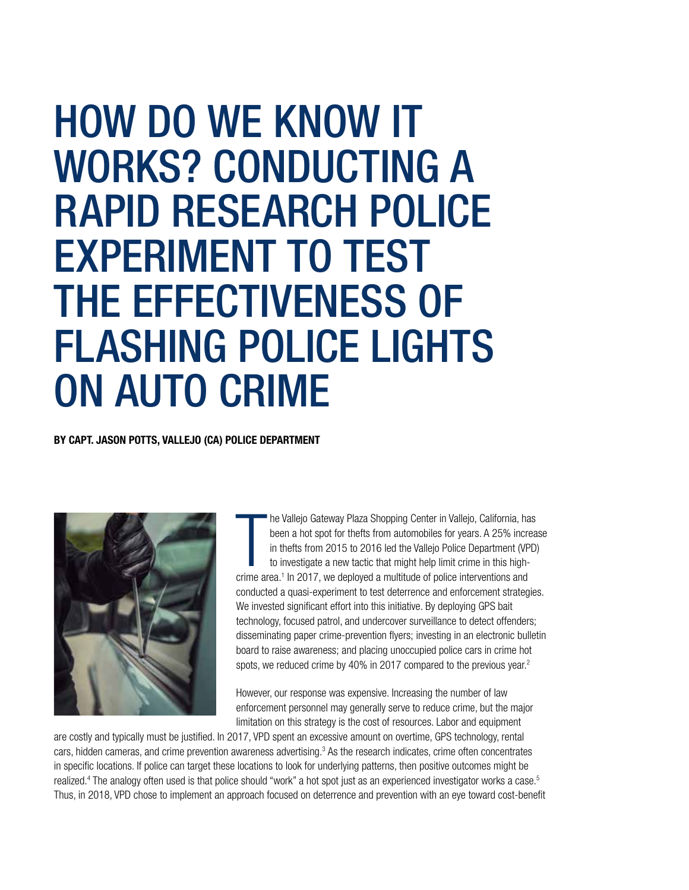# HOW DO WE KNOW IT WORKS? CONDUCTING A RAPID RESEARCH POLICE EXPERIMENT TO TEST THE EFFECTIVENESS OF FLASHING POLICE LIGHTS ON AUTO CRIME

BY CAPT. JASON POTTS, VALLEJO (CA) POLICE DEPARTMENT



he Vallejo Gateway Plaza Shopping Center in Vallejo, California, ha<br>been a hot spot for thefts from automobiles for years. A 25% incre<br>in thefts from 2015 to 2016 led the Vallejo Police Department (VP<br>to investigate a new he Vallejo Gateway Plaza Shopping Center in Vallejo, California, has been a hot spot for thefts from automobiles for years. A 25% increase in thefts from 2015 to 2016 led the Vallejo Police Department (VPD) to investigate a new tactic that might help limit crime in this highconducted a quasi-experiment to test deterrence and enforcement strategies. We invested significant effort into this initiative. By deploying GPS bait technology, focused patrol, and undercover surveillance to detect offenders; disseminating paper crime-prevention flyers; investing in an electronic bulletin board to raise awareness; and placing unoccupied police cars in crime hot spots, we reduced crime by 40% in 2017 compared to the previous year.<sup>2</sup>

However, our response was expensive. Increasing the number of law enforcement personnel may generally serve to reduce crime, but the major limitation on this strategy is the cost of resources. Labor and equipment

are costly and typically must be justified. In 2017, VPD spent an excessive amount on overtime, GPS technology, rental cars, hidden cameras, and crime prevention awareness advertising.3 As the research indicates, crime often concentrates in specific locations. If police can target these locations to look for underlying patterns, then positive outcomes might be realized.<sup>4</sup> The analogy often used is that police should "work" a hot spot just as an experienced investigator works a case.<sup>5</sup> Thus, in 2018, VPD chose to implement an approach focused on deterrence and prevention with an eye toward cost-benefit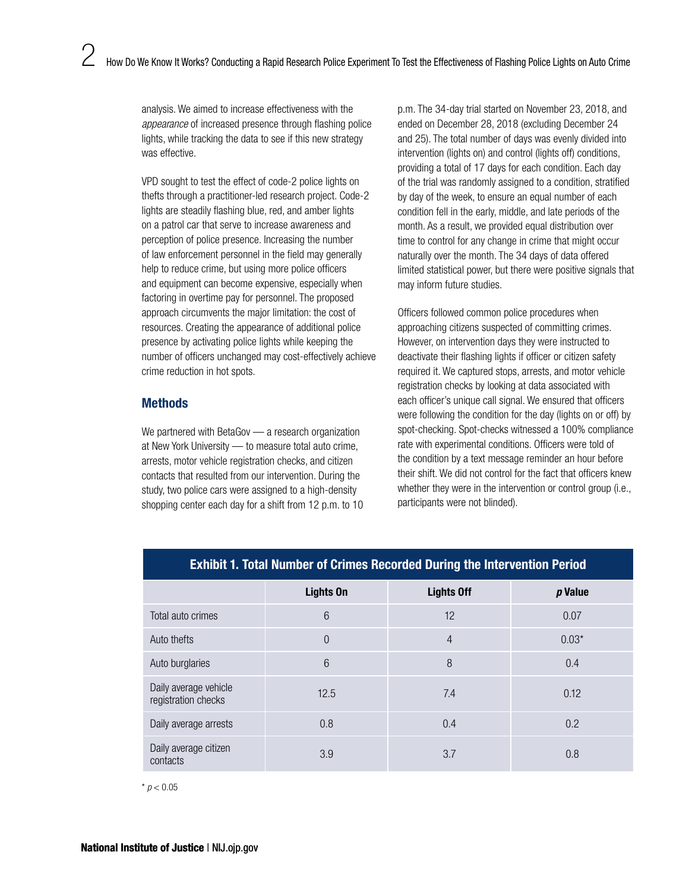analysis. We aimed to increase effectiveness with the *appearance* of increased presence through flashing police lights, while tracking the data to see if this new strategy was effective.

VPD sought to test the effect of code-2 police lights on thefts through a practitioner-led research project. Code-2 lights are steadily flashing blue, red, and amber lights on a patrol car that serve to increase awareness and perception of police presence. Increasing the number of law enforcement personnel in the field may generally help to reduce crime, but using more police officers and equipment can become expensive, especially when factoring in overtime pay for personnel. The proposed approach circumvents the major limitation: the cost of resources. Creating the appearance of additional police presence by activating police lights while keeping the number of officers unchanged may cost-effectively achieve crime reduction in hot spots.

## **Methods**

We partnered with BetaGov — a research organization at New York University — to measure total auto crime, arrests, motor vehicle registration checks, and citizen contacts that resulted from our intervention. During the study, two police cars were assigned to a high-density shopping center each day for a shift from 12 p.m. to 10 p.m. The 34-day trial started on November 23, 2018, and ended on December 28, 2018 (excluding December 24 and 25). The total number of days was evenly divided into intervention (lights on) and control (lights off) conditions, providing a total of 17 days for each condition. Each day of the trial was randomly assigned to a condition, stratified by day of the week, to ensure an equal number of each condition fell in the early, middle, and late periods of the month. As a result, we provided equal distribution over time to control for any change in crime that might occur naturally over the month. The 34 days of data offered limited statistical power, but there were positive signals that may inform future studies.

Officers followed common police procedures when approaching citizens suspected of committing crimes. However, on intervention days they were instructed to deactivate their flashing lights if officer or citizen safety required it. We captured stops, arrests, and motor vehicle registration checks by looking at data associated with each officer's unique call signal. We ensured that officers were following the condition for the day (lights on or off) by spot-checking. Spot-checks witnessed a 100% compliance rate with experimental conditions. Officers were told of the condition by a text message reminder an hour before their shift. We did not control for the fact that officers knew whether they were in the intervention or control group (i.e., participants were not blinded).

| <b>Exhibit 1. Total Number of Crimes Recorded During the Intervention Period</b> |                  |                   |         |
|----------------------------------------------------------------------------------|------------------|-------------------|---------|
|                                                                                  | <b>Lights On</b> | <b>Lights Off</b> | p Value |
| Total auto crimes                                                                | 6                | 12                | 0.07    |
| Auto thefts                                                                      | $\theta$         | $\overline{4}$    | $0.03*$ |
| Auto burglaries                                                                  | 6                | 8                 | 0.4     |
| Daily average vehicle<br>registration checks                                     | 12.5             | 7.4               | 0.12    |
| Daily average arrests                                                            | 0.8              | 0.4               | 0.2     |
| Daily average citizen<br>contacts                                                | 3.9              | 3.7               | 0.8     |

 $*$  *p* < 0.05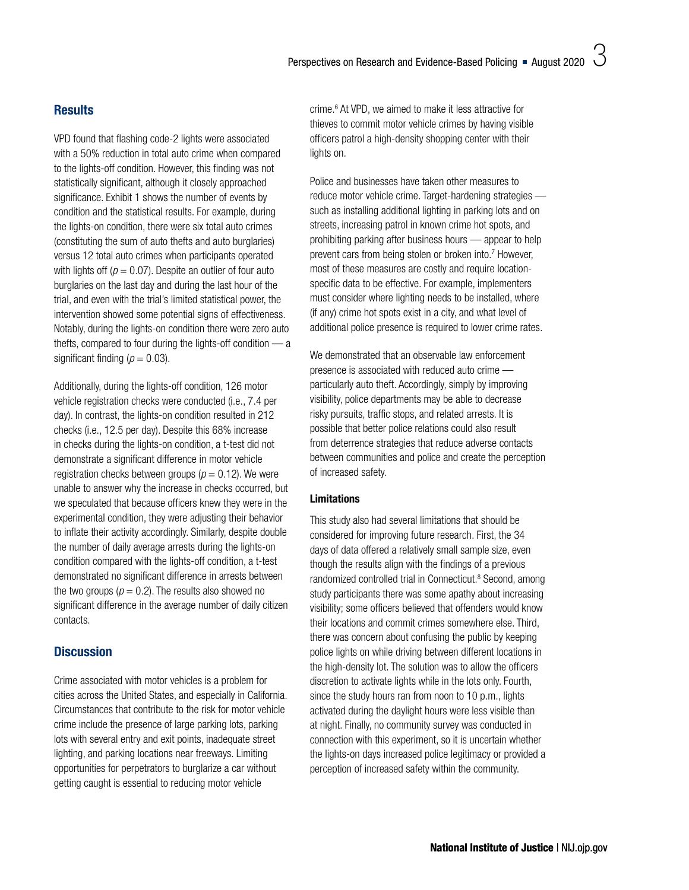## **Results**

VPD found that flashing code-2 lights were associated with a 50% reduction in total auto crime when compared to the lights-off condition. However, this finding was not statistically significant, although it closely approached significance. Exhibit 1 shows the number of events by condition and the statistical results. For example, during the lights-on condition, there were six total auto crimes (constituting the sum of auto thefts and auto burglaries) versus 12 total auto crimes when participants operated with lights off ( $p = 0.07$ ). Despite an outlier of four auto burglaries on the last day and during the last hour of the trial, and even with the trial's limited statistical power, the intervention showed some potential signs of effectiveness. Notably, during the lights-on condition there were zero auto thefts, compared to four during the lights-off condition — a significant finding  $(p = 0.03)$ .

Additionally, during the lights-off condition, 126 motor vehicle registration checks were conducted (i.e., 7.4 per day). In contrast, the lights-on condition resulted in 212 checks (i.e., 12.5 per day). Despite this 68% increase in checks during the lights-on condition, a t-test did not demonstrate a significant difference in motor vehicle registration checks between groups ( $p = 0.12$ ). We were unable to answer why the increase in checks occurred, but we speculated that because officers knew they were in the experimental condition, they were adjusting their behavior to inflate their activity accordingly. Similarly, despite double the number of daily average arrests during the lights-on condition compared with the lights-off condition, a t-test demonstrated no significant difference in arrests between the two groups ( $p = 0.2$ ). The results also showed no significant difference in the average number of daily citizen contacts.

## **Discussion**

Crime associated with motor vehicles is a problem for cities across the United States, and especially in California. Circumstances that contribute to the risk for motor vehicle crime include the presence of large parking lots, parking lots with several entry and exit points, inadequate street lighting, and parking locations near freeways. Limiting opportunities for perpetrators to burglarize a car without getting caught is essential to reducing motor vehicle

crime.<sup>6</sup> At VPD, we aimed to make it less attractive for thieves to commit motor vehicle crimes by having visible officers patrol a high-density shopping center with their lights on.

Police and businesses have taken other measures to reduce motor vehicle crime. Target-hardening strategies such as installing additional lighting in parking lots and on streets, increasing patrol in known crime hot spots, and prohibiting parking after business hours — appear to help prevent cars from being stolen or broken into.<sup>7</sup> However, most of these measures are costly and require locationspecific data to be effective. For example, implementers must consider where lighting needs to be installed, where (if any) crime hot spots exist in a city, and what level of additional police presence is required to lower crime rates.

We demonstrated that an observable law enforcement presence is associated with reduced auto crime particularly auto theft. Accordingly, simply by improving visibility, police departments may be able to decrease risky pursuits, traffic stops, and related arrests. It is possible that better police relations could also result from deterrence strategies that reduce adverse contacts between communities and police and create the perception of increased safety.

#### Limitations

This study also had several limitations that should be considered for improving future research. First, the 34 days of data offered a relatively small sample size, even though the results align with the findings of a previous randomized controlled trial in Connecticut.<sup>8</sup> Second, among study participants there was some apathy about increasing visibility; some officers believed that offenders would know their locations and commit crimes somewhere else. Third, there was concern about confusing the public by keeping police lights on while driving between different locations in the high-density lot. The solution was to allow the officers discretion to activate lights while in the lots only. Fourth, since the study hours ran from noon to 10 p.m., lights activated during the daylight hours were less visible than at night. Finally, no community survey was conducted in connection with this experiment, so it is uncertain whether the lights-on days increased police legitimacy or provided a perception of increased safety within the community.